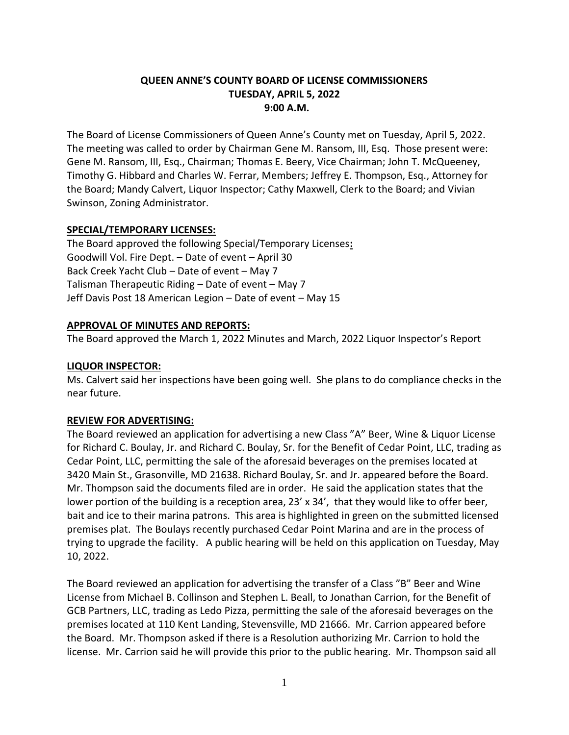# **QUEEN ANNE'S COUNTY BOARD OF LICENSE COMMISSIONERS TUESDAY, APRIL 5, 2022 9:00 A.M.**

The Board of License Commissioners of Queen Anne's County met on Tuesday, April 5, 2022. The meeting was called to order by Chairman Gene M. Ransom, III, Esq. Those present were: Gene M. Ransom, III, Esq., Chairman; Thomas E. Beery, Vice Chairman; John T. McQueeney, Timothy G. Hibbard and Charles W. Ferrar, Members; Jeffrey E. Thompson, Esq., Attorney for the Board; Mandy Calvert, Liquor Inspector; Cathy Maxwell, Clerk to the Board; and Vivian Swinson, Zoning Administrator.

# **SPECIAL/TEMPORARY LICENSES:**

The Board approved the following Special/Temporary Licenses**:** Goodwill Vol. Fire Dept. – Date of event – April 30 Back Creek Yacht Club – Date of event – May 7 Talisman Therapeutic Riding – Date of event – May 7 Jeff Davis Post 18 American Legion – Date of event – May 15

# **APPROVAL OF MINUTES AND REPORTS:**

The Board approved the March 1, 2022 Minutes and March, 2022 Liquor Inspector's Report

## **LIQUOR INSPECTOR:**

Ms. Calvert said her inspections have been going well. She plans to do compliance checks in the near future.

# **REVIEW FOR ADVERTISING:**

The Board reviewed an application for advertising a new Class "A" Beer, Wine & Liquor License for Richard C. Boulay, Jr. and Richard C. Boulay, Sr. for the Benefit of Cedar Point, LLC, trading as Cedar Point, LLC, permitting the sale of the aforesaid beverages on the premises located at 3420 Main St., Grasonville, MD 21638. Richard Boulay, Sr. and Jr. appeared before the Board. Mr. Thompson said the documents filed are in order. He said the application states that the lower portion of the building is a reception area, 23' x 34', that they would like to offer beer, bait and ice to their marina patrons. This area is highlighted in green on the submitted licensed premises plat. The Boulays recently purchased Cedar Point Marina and are in the process of trying to upgrade the facility. A public hearing will be held on this application on Tuesday, May 10, 2022.

The Board reviewed an application for advertising the transfer of a Class "B" Beer and Wine License from Michael B. Collinson and Stephen L. Beall, to Jonathan Carrion, for the Benefit of GCB Partners, LLC, trading as Ledo Pizza, permitting the sale of the aforesaid beverages on the premises located at 110 Kent Landing, Stevensville, MD 21666. Mr. Carrion appeared before the Board. Mr. Thompson asked if there is a Resolution authorizing Mr. Carrion to hold the license. Mr. Carrion said he will provide this prior to the public hearing. Mr. Thompson said all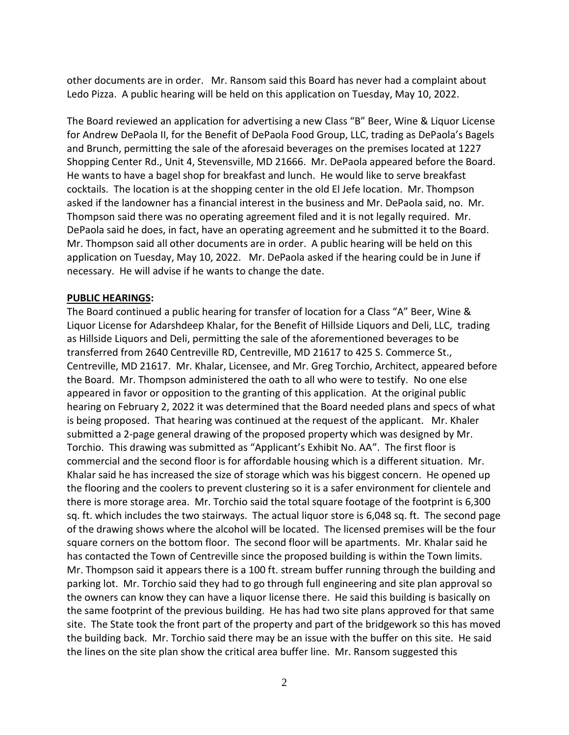other documents are in order. Mr. Ransom said this Board has never had a complaint about Ledo Pizza. A public hearing will be held on this application on Tuesday, May 10, 2022.

The Board reviewed an application for advertising a new Class "B" Beer, Wine & Liquor License for Andrew DePaola II, for the Benefit of DePaola Food Group, LLC, trading as DePaola's Bagels and Brunch, permitting the sale of the aforesaid beverages on the premises located at 1227 Shopping Center Rd., Unit 4, Stevensville, MD 21666. Mr. DePaola appeared before the Board. He wants to have a bagel shop for breakfast and lunch. He would like to serve breakfast cocktails. The location is at the shopping center in the old El Jefe location. Mr. Thompson asked if the landowner has a financial interest in the business and Mr. DePaola said, no. Mr. Thompson said there was no operating agreement filed and it is not legally required. Mr. DePaola said he does, in fact, have an operating agreement and he submitted it to the Board. Mr. Thompson said all other documents are in order. A public hearing will be held on this application on Tuesday, May 10, 2022. Mr. DePaola asked if the hearing could be in June if necessary. He will advise if he wants to change the date.

#### **PUBLIC HEARINGS:**

The Board continued a public hearing for transfer of location for a Class "A" Beer, Wine & Liquor License for Adarshdeep Khalar, for the Benefit of Hillside Liquors and Deli, LLC, trading as Hillside Liquors and Deli, permitting the sale of the aforementioned beverages to be transferred from 2640 Centreville RD, Centreville, MD 21617 to 425 S. Commerce St., Centreville, MD 21617. Mr. Khalar, Licensee, and Mr. Greg Torchio, Architect, appeared before the Board. Mr. Thompson administered the oath to all who were to testify. No one else appeared in favor or opposition to the granting of this application. At the original public hearing on February 2, 2022 it was determined that the Board needed plans and specs of what is being proposed. That hearing was continued at the request of the applicant. Mr. Khaler submitted a 2-page general drawing of the proposed property which was designed by Mr. Torchio. This drawing was submitted as "Applicant's Exhibit No. AA". The first floor is commercial and the second floor is for affordable housing which is a different situation. Mr. Khalar said he has increased the size of storage which was his biggest concern. He opened up the flooring and the coolers to prevent clustering so it is a safer environment for clientele and there is more storage area. Mr. Torchio said the total square footage of the footprint is 6,300 sq. ft. which includes the two stairways. The actual liquor store is 6,048 sq. ft. The second page of the drawing shows where the alcohol will be located. The licensed premises will be the four square corners on the bottom floor. The second floor will be apartments. Mr. Khalar said he has contacted the Town of Centreville since the proposed building is within the Town limits. Mr. Thompson said it appears there is a 100 ft. stream buffer running through the building and parking lot. Mr. Torchio said they had to go through full engineering and site plan approval so the owners can know they can have a liquor license there. He said this building is basically on the same footprint of the previous building. He has had two site plans approved for that same site. The State took the front part of the property and part of the bridgework so this has moved the building back. Mr. Torchio said there may be an issue with the buffer on this site. He said the lines on the site plan show the critical area buffer line. Mr. Ransom suggested this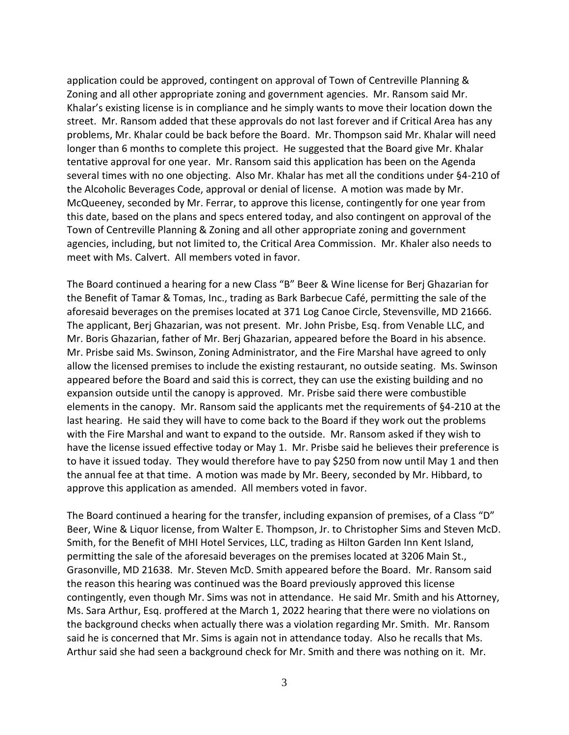application could be approved, contingent on approval of Town of Centreville Planning & Zoning and all other appropriate zoning and government agencies. Mr. Ransom said Mr. Khalar's existing license is in compliance and he simply wants to move their location down the street. Mr. Ransom added that these approvals do not last forever and if Critical Area has any problems, Mr. Khalar could be back before the Board. Mr. Thompson said Mr. Khalar will need longer than 6 months to complete this project. He suggested that the Board give Mr. Khalar tentative approval for one year. Mr. Ransom said this application has been on the Agenda several times with no one objecting. Also Mr. Khalar has met all the conditions under §4-210 of the Alcoholic Beverages Code, approval or denial of license. A motion was made by Mr. McQueeney, seconded by Mr. Ferrar, to approve this license, contingently for one year from this date, based on the plans and specs entered today, and also contingent on approval of the Town of Centreville Planning & Zoning and all other appropriate zoning and government agencies, including, but not limited to, the Critical Area Commission. Mr. Khaler also needs to meet with Ms. Calvert. All members voted in favor.

The Board continued a hearing for a new Class "B" Beer & Wine license for Berj Ghazarian for the Benefit of Tamar & Tomas, Inc., trading as Bark Barbecue Café, permitting the sale of the aforesaid beverages on the premises located at 371 Log Canoe Circle, Stevensville, MD 21666. The applicant, Berj Ghazarian, was not present. Mr. John Prisbe, Esq. from Venable LLC, and Mr. Boris Ghazarian, father of Mr. Berj Ghazarian, appeared before the Board in his absence. Mr. Prisbe said Ms. Swinson, Zoning Administrator, and the Fire Marshal have agreed to only allow the licensed premises to include the existing restaurant, no outside seating. Ms. Swinson appeared before the Board and said this is correct, they can use the existing building and no expansion outside until the canopy is approved. Mr. Prisbe said there were combustible elements in the canopy. Mr. Ransom said the applicants met the requirements of §4-210 at the last hearing. He said they will have to come back to the Board if they work out the problems with the Fire Marshal and want to expand to the outside. Mr. Ransom asked if they wish to have the license issued effective today or May 1. Mr. Prisbe said he believes their preference is to have it issued today. They would therefore have to pay \$250 from now until May 1 and then the annual fee at that time. A motion was made by Mr. Beery, seconded by Mr. Hibbard, to approve this application as amended. All members voted in favor.

The Board continued a hearing for the transfer, including expansion of premises, of a Class "D" Beer, Wine & Liquor license, from Walter E. Thompson, Jr. to Christopher Sims and Steven McD. Smith, for the Benefit of MHI Hotel Services, LLC, trading as Hilton Garden Inn Kent Island, permitting the sale of the aforesaid beverages on the premises located at 3206 Main St., Grasonville, MD 21638. Mr. Steven McD. Smith appeared before the Board. Mr. Ransom said the reason this hearing was continued was the Board previously approved this license contingently, even though Mr. Sims was not in attendance. He said Mr. Smith and his Attorney, Ms. Sara Arthur, Esq. proffered at the March 1, 2022 hearing that there were no violations on the background checks when actually there was a violation regarding Mr. Smith. Mr. Ransom said he is concerned that Mr. Sims is again not in attendance today. Also he recalls that Ms. Arthur said she had seen a background check for Mr. Smith and there was nothing on it. Mr.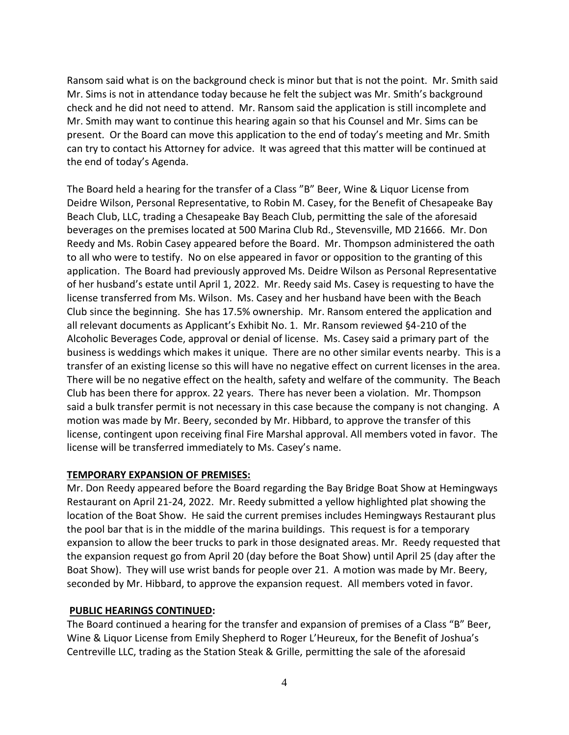Ransom said what is on the background check is minor but that is not the point. Mr. Smith said Mr. Sims is not in attendance today because he felt the subject was Mr. Smith's background check and he did not need to attend. Mr. Ransom said the application is still incomplete and Mr. Smith may want to continue this hearing again so that his Counsel and Mr. Sims can be present. Or the Board can move this application to the end of today's meeting and Mr. Smith can try to contact his Attorney for advice. It was agreed that this matter will be continued at the end of today's Agenda.

The Board held a hearing for the transfer of a Class "B" Beer, Wine & Liquor License from Deidre Wilson, Personal Representative, to Robin M. Casey, for the Benefit of Chesapeake Bay Beach Club, LLC, trading a Chesapeake Bay Beach Club, permitting the sale of the aforesaid beverages on the premises located at 500 Marina Club Rd., Stevensville, MD 21666. Mr. Don Reedy and Ms. Robin Casey appeared before the Board. Mr. Thompson administered the oath to all who were to testify. No on else appeared in favor or opposition to the granting of this application. The Board had previously approved Ms. Deidre Wilson as Personal Representative of her husband's estate until April 1, 2022. Mr. Reedy said Ms. Casey is requesting to have the license transferred from Ms. Wilson. Ms. Casey and her husband have been with the Beach Club since the beginning. She has 17.5% ownership. Mr. Ransom entered the application and all relevant documents as Applicant's Exhibit No. 1. Mr. Ransom reviewed §4-210 of the Alcoholic Beverages Code, approval or denial of license. Ms. Casey said a primary part of the business is weddings which makes it unique. There are no other similar events nearby. This is a transfer of an existing license so this will have no negative effect on current licenses in the area. There will be no negative effect on the health, safety and welfare of the community. The Beach Club has been there for approx. 22 years. There has never been a violation. Mr. Thompson said a bulk transfer permit is not necessary in this case because the company is not changing. A motion was made by Mr. Beery, seconded by Mr. Hibbard, to approve the transfer of this license, contingent upon receiving final Fire Marshal approval. All members voted in favor. The license will be transferred immediately to Ms. Casey's name.

## **TEMPORARY EXPANSION OF PREMISES:**

Mr. Don Reedy appeared before the Board regarding the Bay Bridge Boat Show at Hemingways Restaurant on April 21-24, 2022. Mr. Reedy submitted a yellow highlighted plat showing the location of the Boat Show. He said the current premises includes Hemingways Restaurant plus the pool bar that is in the middle of the marina buildings. This request is for a temporary expansion to allow the beer trucks to park in those designated areas. Mr. Reedy requested that the expansion request go from April 20 (day before the Boat Show) until April 25 (day after the Boat Show). They will use wrist bands for people over 21. A motion was made by Mr. Beery, seconded by Mr. Hibbard, to approve the expansion request. All members voted in favor.

## **PUBLIC HEARINGS CONTINUED:**

The Board continued a hearing for the transfer and expansion of premises of a Class "B" Beer, Wine & Liquor License from Emily Shepherd to Roger L'Heureux, for the Benefit of Joshua's Centreville LLC, trading as the Station Steak & Grille, permitting the sale of the aforesaid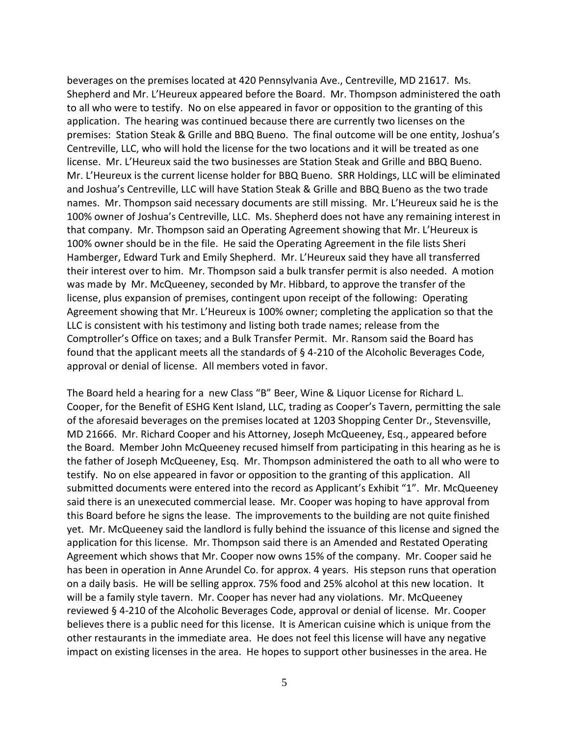beverages on the premises located at 420 Pennsylvania Ave., Centreville, MD 21617. Ms. Shepherd and Mr. L'Heureux appeared before the Board. Mr. Thompson administered the oath to all who were to testify. No on else appeared in favor or opposition to the granting of this application. The hearing was continued because there are currently two licenses on the premises: Station Steak & Grille and BBQ Bueno. The final outcome will be one entity, Joshua's Centreville, LLC, who will hold the license for the two locations and it will be treated as one license. Mr. L'Heureux said the two businesses are Station Steak and Grille and BBQ Bueno. Mr. L'Heureux is the current license holder for BBQ Bueno. SRR Holdings, LLC will be eliminated and Joshua's Centreville, LLC will have Station Steak & Grille and BBQ Bueno as the two trade names. Mr. Thompson said necessary documents are still missing. Mr. L'Heureux said he is the 100% owner of Joshua's Centreville, LLC. Ms. Shepherd does not have any remaining interest in that company. Mr. Thompson said an Operating Agreement showing that Mr. L'Heureux is 100% owner should be in the file. He said the Operating Agreement in the file lists Sheri Hamberger, Edward Turk and Emily Shepherd. Mr. L'Heureux said they have all transferred their interest over to him. Mr. Thompson said a bulk transfer permit is also needed. A motion was made by Mr. McQueeney, seconded by Mr. Hibbard, to approve the transfer of the license, plus expansion of premises, contingent upon receipt of the following: Operating Agreement showing that Mr. L'Heureux is 100% owner; completing the application so that the LLC is consistent with his testimony and listing both trade names; release from the Comptroller's Office on taxes; and a Bulk Transfer Permit. Mr. Ransom said the Board has found that the applicant meets all the standards of § 4-210 of the Alcoholic Beverages Code, approval or denial of license. All members voted in favor.

The Board held a hearing for a new Class "B" Beer, Wine & Liquor License for Richard L. Cooper, for the Benefit of ESHG Kent Island, LLC, trading as Cooper's Tavern, permitting the sale of the aforesaid beverages on the premises located at 1203 Shopping Center Dr., Stevensville, MD 21666. Mr. Richard Cooper and his Attorney, Joseph McQueeney, Esq., appeared before the Board. Member John McQueeney recused himself from participating in this hearing as he is the father of Joseph McQueeney, Esq. Mr. Thompson administered the oath to all who were to testify. No on else appeared in favor or opposition to the granting of this application. All submitted documents were entered into the record as Applicant's Exhibit "1". Mr. McQueeney said there is an unexecuted commercial lease. Mr. Cooper was hoping to have approval from this Board before he signs the lease. The improvements to the building are not quite finished yet. Mr. McQueeney said the landlord is fully behind the issuance of this license and signed the application for this license. Mr. Thompson said there is an Amended and Restated Operating Agreement which shows that Mr. Cooper now owns 15% of the company. Mr. Cooper said he has been in operation in Anne Arundel Co. for approx. 4 years. His stepson runs that operation on a daily basis. He will be selling approx. 75% food and 25% alcohol at this new location. It will be a family style tavern. Mr. Cooper has never had any violations. Mr. McQueeney reviewed § 4-210 of the Alcoholic Beverages Code, approval or denial of license. Mr. Cooper believes there is a public need for this license. It is American cuisine which is unique from the other restaurants in the immediate area. He does not feel this license will have any negative impact on existing licenses in the area. He hopes to support other businesses in the area. He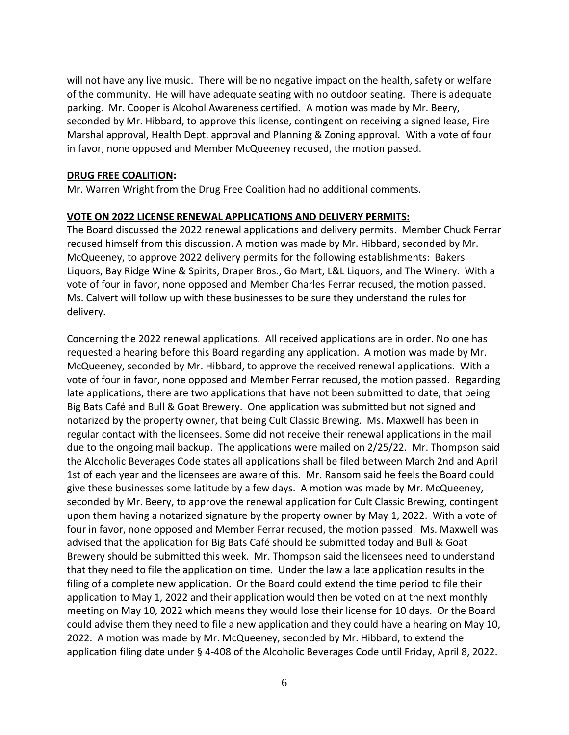will not have any live music. There will be no negative impact on the health, safety or welfare of the community. He will have adequate seating with no outdoor seating. There is adequate parking. Mr. Cooper is Alcohol Awareness certified. A motion was made by Mr. Beery, seconded by Mr. Hibbard, to approve this license, contingent on receiving a signed lease, Fire Marshal approval, Health Dept. approval and Planning & Zoning approval. With a vote of four in favor, none opposed and Member McQueeney recused, the motion passed.

#### **DRUG FREE COALITION:**

Mr. Warren Wright from the Drug Free Coalition had no additional comments.

## **VOTE ON 2022 LICENSE RENEWAL APPLICATIONS AND DELIVERY PERMITS:**

The Board discussed the 2022 renewal applications and delivery permits. Member Chuck Ferrar recused himself from this discussion. A motion was made by Mr. Hibbard, seconded by Mr. McQueeney, to approve 2022 delivery permits for the following establishments: Bakers Liquors, Bay Ridge Wine & Spirits, Draper Bros., Go Mart, L&L Liquors, and The Winery. With a vote of four in favor, none opposed and Member Charles Ferrar recused, the motion passed. Ms. Calvert will follow up with these businesses to be sure they understand the rules for delivery.

Concerning the 2022 renewal applications. All received applications are in order. No one has requested a hearing before this Board regarding any application. A motion was made by Mr. McQueeney, seconded by Mr. Hibbard, to approve the received renewal applications. With a vote of four in favor, none opposed and Member Ferrar recused, the motion passed. Regarding late applications, there are two applications that have not been submitted to date, that being Big Bats Café and Bull & Goat Brewery. One application was submitted but not signed and notarized by the property owner, that being Cult Classic Brewing. Ms. Maxwell has been in regular contact with the licensees. Some did not receive their renewal applications in the mail due to the ongoing mail backup. The applications were mailed on 2/25/22. Mr. Thompson said the Alcoholic Beverages Code states all applications shall be filed between March 2nd and April 1st of each year and the licensees are aware of this. Mr. Ransom said he feels the Board could give these businesses some latitude by a few days. A motion was made by Mr. McQueeney, seconded by Mr. Beery, to approve the renewal application for Cult Classic Brewing, contingent upon them having a notarized signature by the property owner by May 1, 2022. With a vote of four in favor, none opposed and Member Ferrar recused, the motion passed. Ms. Maxwell was advised that the application for Big Bats Café should be submitted today and Bull & Goat Brewery should be submitted this week. Mr. Thompson said the licensees need to understand that they need to file the application on time. Under the law a late application results in the filing of a complete new application. Or the Board could extend the time period to file their application to May 1, 2022 and their application would then be voted on at the next monthly meeting on May 10, 2022 which means they would lose their license for 10 days. Or the Board could advise them they need to file a new application and they could have a hearing on May 10, 2022. A motion was made by Mr. McQueeney, seconded by Mr. Hibbard, to extend the application filing date under § 4-408 of the Alcoholic Beverages Code until Friday, April 8, 2022.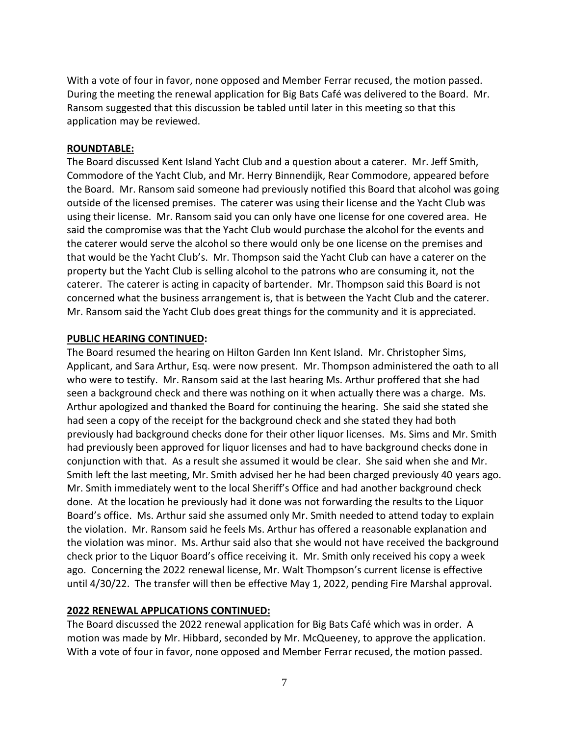With a vote of four in favor, none opposed and Member Ferrar recused, the motion passed. During the meeting the renewal application for Big Bats Café was delivered to the Board. Mr. Ransom suggested that this discussion be tabled until later in this meeting so that this application may be reviewed.

#### **ROUNDTABLE:**

The Board discussed Kent Island Yacht Club and a question about a caterer. Mr. Jeff Smith, Commodore of the Yacht Club, and Mr. Herry Binnendijk, Rear Commodore, appeared before the Board. Mr. Ransom said someone had previously notified this Board that alcohol was going outside of the licensed premises. The caterer was using their license and the Yacht Club was using their license. Mr. Ransom said you can only have one license for one covered area. He said the compromise was that the Yacht Club would purchase the alcohol for the events and the caterer would serve the alcohol so there would only be one license on the premises and that would be the Yacht Club's. Mr. Thompson said the Yacht Club can have a caterer on the property but the Yacht Club is selling alcohol to the patrons who are consuming it, not the caterer. The caterer is acting in capacity of bartender. Mr. Thompson said this Board is not concerned what the business arrangement is, that is between the Yacht Club and the caterer. Mr. Ransom said the Yacht Club does great things for the community and it is appreciated.

#### **PUBLIC HEARING CONTINUED:**

The Board resumed the hearing on Hilton Garden Inn Kent Island. Mr. Christopher Sims, Applicant, and Sara Arthur, Esq. were now present. Mr. Thompson administered the oath to all who were to testify. Mr. Ransom said at the last hearing Ms. Arthur proffered that she had seen a background check and there was nothing on it when actually there was a charge. Ms. Arthur apologized and thanked the Board for continuing the hearing. She said she stated she had seen a copy of the receipt for the background check and she stated they had both previously had background checks done for their other liquor licenses. Ms. Sims and Mr. Smith had previously been approved for liquor licenses and had to have background checks done in conjunction with that. As a result she assumed it would be clear. She said when she and Mr. Smith left the last meeting, Mr. Smith advised her he had been charged previously 40 years ago. Mr. Smith immediately went to the local Sheriff's Office and had another background check done. At the location he previously had it done was not forwarding the results to the Liquor Board's office. Ms. Arthur said she assumed only Mr. Smith needed to attend today to explain the violation. Mr. Ransom said he feels Ms. Arthur has offered a reasonable explanation and the violation was minor. Ms. Arthur said also that she would not have received the background check prior to the Liquor Board's office receiving it. Mr. Smith only received his copy a week ago. Concerning the 2022 renewal license, Mr. Walt Thompson's current license is effective until 4/30/22. The transfer will then be effective May 1, 2022, pending Fire Marshal approval.

## **2022 RENEWAL APPLICATIONS CONTINUED:**

The Board discussed the 2022 renewal application for Big Bats Café which was in order. A motion was made by Mr. Hibbard, seconded by Mr. McQueeney, to approve the application. With a vote of four in favor, none opposed and Member Ferrar recused, the motion passed.